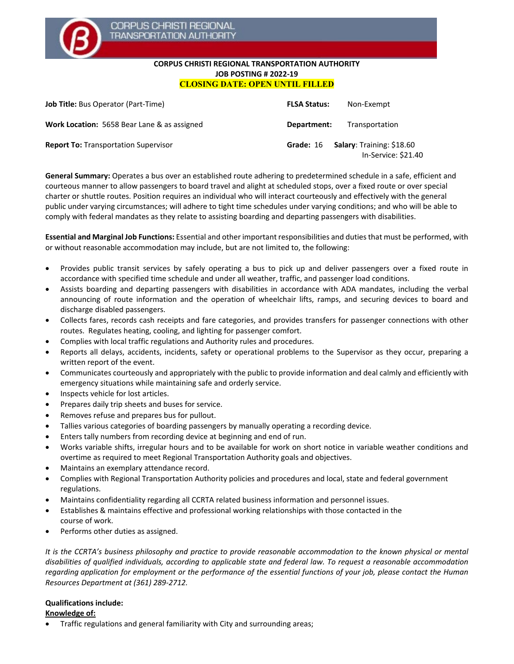

### **CORPUS CHRISTI REGIONAL TRANSPORTATION AUTHORITY JOB POSTING # 2022-19 CLOSING DATE: OPEN UNTIL FILLED**

| <b>Job Title:</b> Bus Operator (Part-Time)  | <b>FLSA Status:</b> | Non-Exempt                                       |
|---------------------------------------------|---------------------|--------------------------------------------------|
| Work Location: 5658 Bear Lane & as assigned | Department:         | Transportation                                   |
| <b>Report To: Transportation Supervisor</b> | Grade: 16           | Salary: Training: \$18.60<br>In-Service: \$21.40 |

**General Summary:** Operates a bus over an established route adhering to predetermined schedule in a safe, efficient and courteous manner to allow passengers to board travel and alight at scheduled stops, over a fixed route or over special charter or shuttle routes. Position requires an individual who will interact courteously and effectively with the general public under varying circumstances; will adhere to tight time schedules under varying conditions; and who will be able to comply with federal mandates as they relate to assisting boarding and departing passengers with disabilities.

**Essential and Marginal Job Functions:** Essential and other important responsibilities and duties that must be performed, with or without reasonable accommodation may include, but are not limited to, the following:

- Provides public transit services by safely operating a bus to pick up and deliver passengers over a fixed route in accordance with specified time schedule and under all weather, traffic, and passenger load conditions.
- Assists boarding and departing passengers with disabilities in accordance with ADA mandates, including the verbal announcing of route information and the operation of wheelchair lifts, ramps, and securing devices to board and discharge disabled passengers.
- Collects fares, records cash receipts and fare categories, and provides transfers for passenger connections with other routes. Regulates heating, cooling, and lighting for passenger comfort.
- Complies with local traffic regulations and Authority rules and procedures.
- Reports all delays, accidents, incidents, safety or operational problems to the Supervisor as they occur, preparing a written report of the event.
- Communicates courteously and appropriately with the public to provide information and deal calmly and efficiently with emergency situations while maintaining safe and orderly service.
- Inspects vehicle for lost articles.
- Prepares daily trip sheets and buses for service.
- Removes refuse and prepares bus for pullout.
- Tallies various categories of boarding passengers by manually operating a recording device.
- Enters tally numbers from recording device at beginning and end of run.
- Works variable shifts, irregular hours and to be available for work on short notice in variable weather conditions and overtime as required to meet Regional Transportation Authority goals and objectives.
- Maintains an exemplary attendance record.
- Complies with Regional Transportation Authority policies and procedures and local, state and federal government regulations.
- Maintains confidentiality regarding all CCRTA related business information and personnel issues.
- Establishes & maintains effective and professional working relationships with those contacted in the course of work.
- Performs other duties as assigned.

*It is the CCRTA's business philosophy and practice to provide reasonable accommodation to the known physical or mental disabilities of qualified individuals, according to applicable state and federal law. To request a reasonable accommodation regarding application for employment or the performance of the essential functions of your job, please contact the Human Resources Department at (361) 289-2712.*

# **Qualifications include:**

#### **Knowledge of:**

• Traffic regulations and general familiarity with City and surrounding areas;